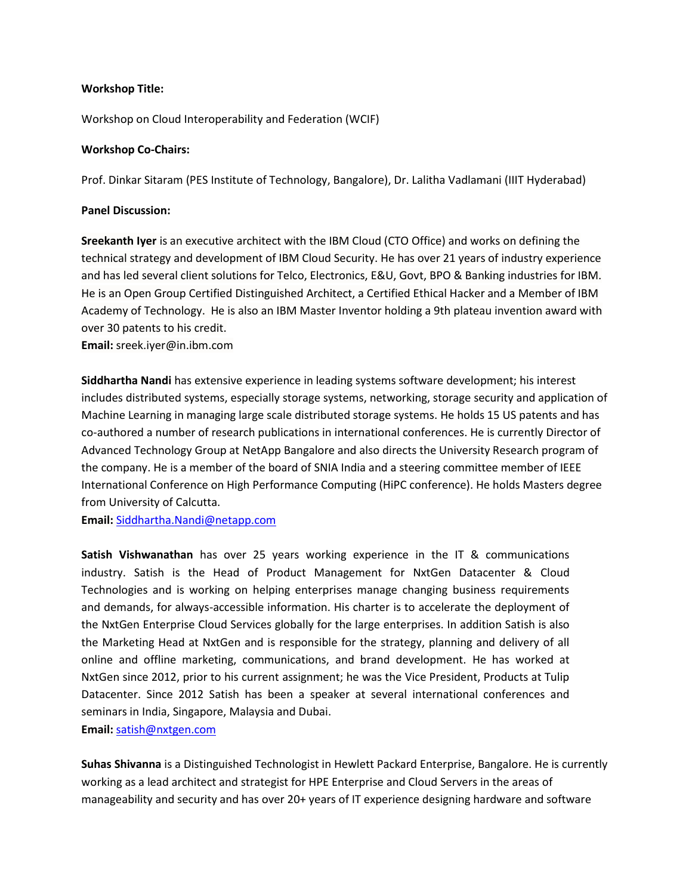## **Workshop Title:**

Workshop on Cloud Interoperability and Federation (WCIF)

## **Workshop Co-Chairs:**

Prof. Dinkar Sitaram (PES Institute of Technology, Bangalore), Dr. Lalitha Vadlamani (IIIT Hyderabad)

## **Panel Discussion:**

**Sreekanth Iyer** is an executive architect with the IBM Cloud (CTO Office) and works on defining the technical strategy and development of IBM Cloud Security. He has over 21 years of industry experience and has led several client solutions for Telco, Electronics, E&U, Govt, BPO & Banking industries for IBM. He is an Open Group Certified Distinguished Architect, a Certified Ethical Hacker and a Member of IBM Academy of Technology. He is also an IBM Master Inventor holding a 9th plateau invention award with over 30 patents to his credit.

**Email:** sreek.iyer@in.ibm.com

**Siddhartha Nandi** has extensive experience in leading systems software development; his interest includes distributed systems, especially storage systems, networking, storage security and application of Machine Learning in managing large scale distributed storage systems. He holds 15 US patents and has co-authored a number of research publications in international conferences. He is currently Director of Advanced Technology Group at NetApp Bangalore and also directs the University Research program of the company. He is a member of the board of SNIA India and a steering committee member of IEEE International Conference on High Performance Computing (HiPC conference). He holds Masters degree from University of Calcutta.

**Email:** [Siddhartha.Nandi@netapp.com](mailto:Siddhartha.Nandi@netapp.com)

**Satish Vishwanathan** has over 25 years working experience in the IT & communications industry. Satish is the Head of Product Management for NxtGen Datacenter & Cloud Technologies and is working on helping enterprises manage changing business requirements and demands, for always-accessible information. His charter is to accelerate the deployment of the NxtGen Enterprise Cloud Services globally for the large enterprises. In addition Satish is also the Marketing Head at NxtGen and is responsible for the strategy, planning and delivery of all online and offline marketing, communications, and brand development. He has worked at NxtGen since 2012, prior to his current assignment; he was the Vice President, Products at Tulip Datacenter. Since 2012 Satish has been a speaker at several international conferences and seminars in India, Singapore, Malaysia and Dubai. **Email:** [satish@nxtgen.com](mailto:satish@nxtgen.com)

**Suhas Shivanna** is a Distinguished Technologist in Hewlett Packard Enterprise, Bangalore. He is currently working as a lead architect and strategist for HPE Enterprise and Cloud Servers in the areas of manageability and security and has over 20+ years of IT experience designing hardware and software